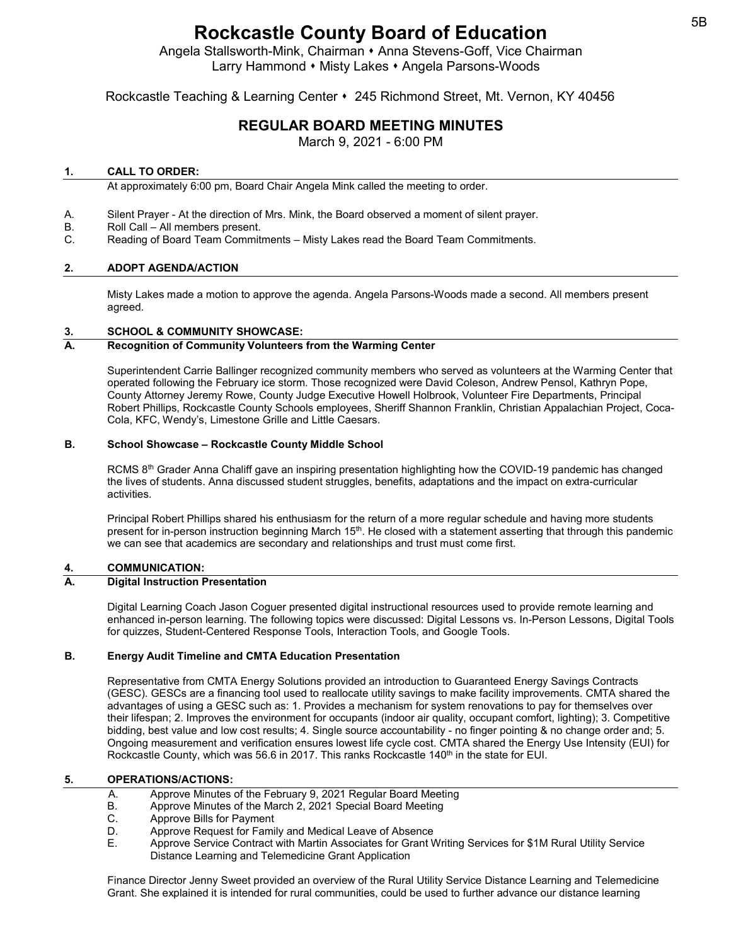Angela Stallsworth-Mink, Chairman • Anna Stevens-Goff, Vice Chairman Larry Hammond • Misty Lakes • Angela Parsons-Woods

# Rockcastle Teaching & Learning Center 245 Richmond Street, Mt. Vernon, KY 40456

# **REGULAR BOARD MEETING MINUTES**

March 9, 2021 - 6:00 PM

#### **1. CALL TO ORDER:**

At approximately 6:00 pm, Board Chair Angela Mink called the meeting to order.

- A. Silent Prayer At the direction of Mrs. Mink, the Board observed a moment of silent prayer.
- B. Roll Call All members present.
- C. Reading of Board Team Commitments Misty Lakes read the Board Team Commitments.

#### **2. ADOPT AGENDA/ACTION**

Misty Lakes made a motion to approve the agenda. Angela Parsons-Woods made a second. All members present agreed.

#### **3. SCHOOL & COMMUNITY SHOWCASE:**

#### **A. Recognition of Community Volunteers from the Warming Center**

Superintendent Carrie Ballinger recognized community members who served as volunteers at the Warming Center that operated following the February ice storm. Those recognized were David Coleson, Andrew Pensol, Kathryn Pope, County Attorney Jeremy Rowe, County Judge Executive Howell Holbrook, Volunteer Fire Departments, Principal Robert Phillips, Rockcastle County Schools employees, Sheriff Shannon Franklin, Christian Appalachian Project, Coca-Cola, KFC, Wendy's, Limestone Grille and Little Caesars.

#### **B. School Showcase – Rockcastle County Middle School**

RCMS 8<sup>th</sup> Grader Anna Chaliff gave an inspiring presentation highlighting how the COVID-19 pandemic has changed the lives of students. Anna discussed student struggles, benefits, adaptations and the impact on extra-curricular activities.

Principal Robert Phillips shared his enthusiasm for the return of a more regular schedule and having more students present for in-person instruction beginning March 15<sup>th</sup>. He closed with a statement asserting that through this pandemic we can see that academics are secondary and relationships and trust must come first.

# **4. COMMUNICATION:**

#### **A. Digital Instruction Presentation**

Digital Learning Coach Jason Coguer presented digital instructional resources used to provide remote learning and enhanced in-person learning. The following topics were discussed: Digital Lessons vs. In-Person Lessons, Digital Tools for quizzes, Student-Centered Response Tools, Interaction Tools, and Google Tools.

# **B. Energy Audit Timeline and CMTA Education Presentation**

Representative from CMTA Energy Solutions provided an introduction to Guaranteed Energy Savings Contracts (GESC). GESCs are a financing tool used to reallocate utility savings to make facility improvements. CMTA shared the advantages of using a GESC such as: 1. Provides a mechanism for system renovations to pay for themselves over their lifespan; 2. Improves the environment for occupants (indoor air quality, occupant comfort, lighting); 3. Competitive bidding, best value and low cost results; 4. Single source accountability - no finger pointing & no change order and; 5. Ongoing measurement and verification ensures lowest life cycle cost. CMTA shared the Energy Use Intensity (EUI) for Rockcastle County, which was 56.6 in 2017. This ranks Rockcastle 140<sup>th</sup> in the state for EUI.

#### **5. OPERATIONS/ACTIONS:**

- A. Approve Minutes of the February 9, 2021 Regular Board Meeting<br>B. Approve Minutes of the March 2, 2021 Special Board Meeting
- B. Approve Minutes of the March 2, 2021 Special Board Meeting<br>C. Approve Bills for Payment
- Approve Bills for Payment
- D. Approve Request for Family and Medical Leave of Absence
- E. Approve Service Contract with Martin Associates for Grant Writing Services for \$1M Rural Utility Service Distance Learning and Telemedicine Grant Application

Finance Director Jenny Sweet provided an overview of the Rural Utility Service Distance Learning and Telemedicine Grant. She explained it is intended for rural communities, could be used to further advance our distance learning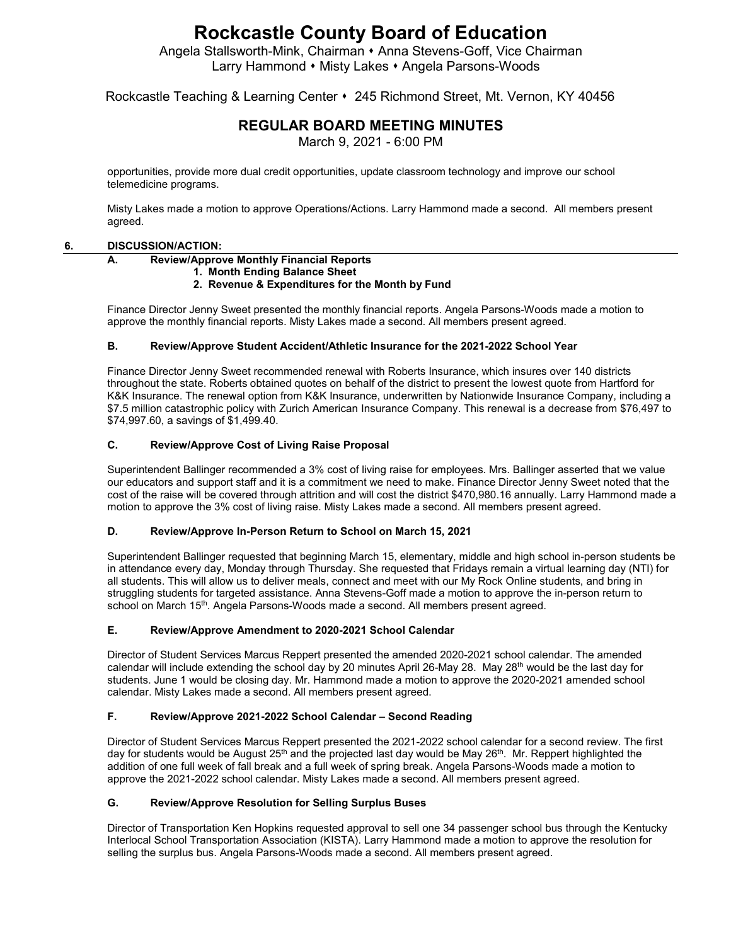Angela Stallsworth-Mink, Chairman • Anna Stevens-Goff, Vice Chairman Larry Hammond • Misty Lakes • Angela Parsons-Woods

# Rockcastle Teaching & Learning Center 245 Richmond Street, Mt. Vernon, KY 40456

# **REGULAR BOARD MEETING MINUTES**

March 9, 2021 - 6:00 PM

opportunities, provide more dual credit opportunities, update classroom technology and improve our school telemedicine programs.

Misty Lakes made a motion to approve Operations/Actions. Larry Hammond made a second. All members present agreed.

#### **6. DISCUSSION/ACTION:**

#### **A. Review/Approve Monthly Financial Reports**

# **1. Month Ending Balance Sheet**

#### **2. Revenue & Expenditures for the Month by Fund**

Finance Director Jenny Sweet presented the monthly financial reports. Angela Parsons-Woods made a motion to approve the monthly financial reports. Misty Lakes made a second. All members present agreed.

#### **B. Review/Approve Student Accident/Athletic Insurance for the 2021-2022 School Year**

Finance Director Jenny Sweet recommended renewal with Roberts Insurance, which insures over 140 districts throughout the state. Roberts obtained quotes on behalf of the district to present the lowest quote from Hartford for K&K Insurance. The renewal option from K&K Insurance, underwritten by Nationwide Insurance Company, including a \$7.5 million catastrophic policy with Zurich American Insurance Company. This renewal is a decrease from \$76,497 to \$74,997.60, a savings of \$1,499.40.

#### **C. Review/Approve Cost of Living Raise Proposal**

Superintendent Ballinger recommended a 3% cost of living raise for employees. Mrs. Ballinger asserted that we value our educators and support staff and it is a commitment we need to make. Finance Director Jenny Sweet noted that the cost of the raise will be covered through attrition and will cost the district \$470,980.16 annually. Larry Hammond made a motion to approve the 3% cost of living raise. Misty Lakes made a second. All members present agreed.

#### **D. Review/Approve In-Person Return to School on March 15, 2021**

Superintendent Ballinger requested that beginning March 15, elementary, middle and high school in-person students be in attendance every day, Monday through Thursday. She requested that Fridays remain a virtual learning day (NTI) for all students. This will allow us to deliver meals, connect and meet with our My Rock Online students, and bring in struggling students for targeted assistance. Anna Stevens-Goff made a motion to approve the in-person return to school on March 15<sup>th</sup>. Angela Parsons-Woods made a second. All members present agreed.

# **E. Review/Approve Amendment to 2020-2021 School Calendar**

Director of Student Services Marcus Reppert presented the amended 2020-2021 school calendar. The amended calendar will include extending the school day by 20 minutes April 26-May 28. May 28<sup>th</sup> would be the last day for students. June 1 would be closing day. Mr. Hammond made a motion to approve the 2020-2021 amended school calendar. Misty Lakes made a second. All members present agreed.

#### **F. Review/Approve 2021-2022 School Calendar – Second Reading**

Director of Student Services Marcus Reppert presented the 2021-2022 school calendar for a second review. The first day for students would be August 25<sup>th</sup> and the projected last day would be May 26<sup>th</sup>. Mr. Reppert highlighted the addition of one full week of fall break and a full week of spring break. Angela Parsons-Woods made a motion to approve the 2021-2022 school calendar. Misty Lakes made a second. All members present agreed.

#### **G. Review/Approve Resolution for Selling Surplus Buses**

Director of Transportation Ken Hopkins requested approval to sell one 34 passenger school bus through the Kentucky Interlocal School Transportation Association (KISTA). Larry Hammond made a motion to approve the resolution for selling the surplus bus. Angela Parsons-Woods made a second. All members present agreed.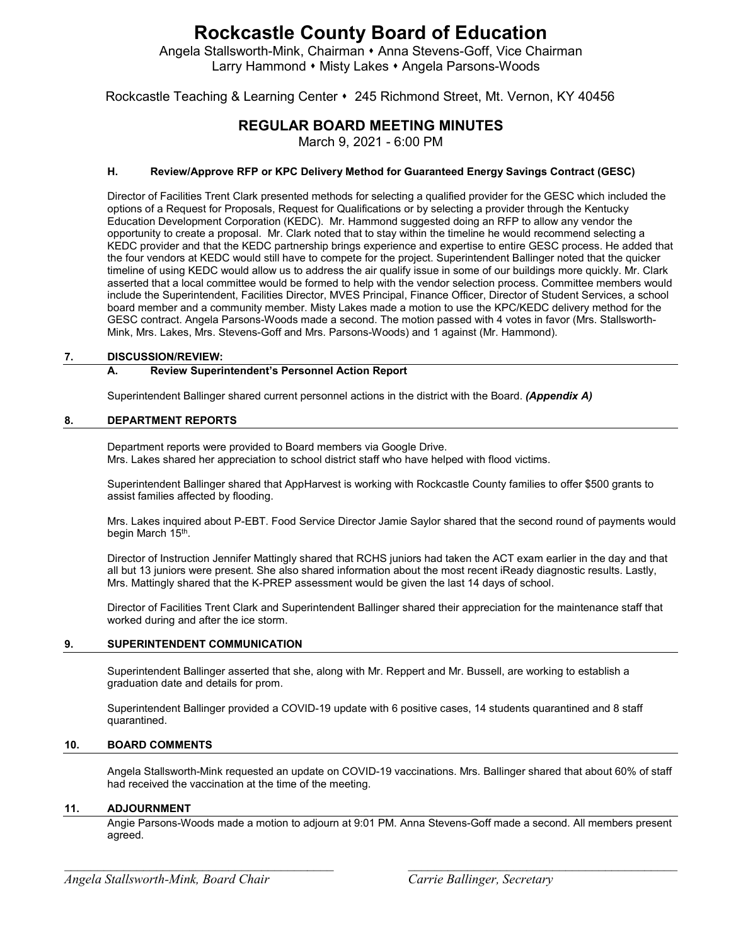Angela Stallsworth-Mink, Chairman • Anna Stevens-Goff, Vice Chairman Larry Hammond • Misty Lakes • Angela Parsons-Woods

Rockcastle Teaching & Learning Center 245 Richmond Street, Mt. Vernon, KY 40456

# **REGULAR BOARD MEETING MINUTES**

March 9, 2021 - 6:00 PM

# **H. Review/Approve RFP or KPC Delivery Method for Guaranteed Energy Savings Contract (GESC)**

Director of Facilities Trent Clark presented methods for selecting a qualified provider for the GESC which included the options of a Request for Proposals, Request for Qualifications or by selecting a provider through the Kentucky Education Development Corporation (KEDC). Mr. Hammond suggested doing an RFP to allow any vendor the opportunity to create a proposal. Mr. Clark noted that to stay within the timeline he would recommend selecting a KEDC provider and that the KEDC partnership brings experience and expertise to entire GESC process. He added that the four vendors at KEDC would still have to compete for the project. Superintendent Ballinger noted that the quicker timeline of using KEDC would allow us to address the air qualify issue in some of our buildings more quickly. Mr. Clark asserted that a local committee would be formed to help with the vendor selection process. Committee members would include the Superintendent, Facilities Director, MVES Principal, Finance Officer, Director of Student Services, a school board member and a community member. Misty Lakes made a motion to use the KPC/KEDC delivery method for the GESC contract. Angela Parsons-Woods made a second. The motion passed with 4 votes in favor (Mrs. Stallsworth-Mink, Mrs. Lakes, Mrs. Stevens-Goff and Mrs. Parsons-Woods) and 1 against (Mr. Hammond).

# **7. DISCUSSION/REVIEW:**

# **A. Review Superintendent's Personnel Action Report**

Superintendent Ballinger shared current personnel actions in the district with the Board. *(Appendix A)*

# **8. DEPARTMENT REPORTS**

Department reports were provided to Board members via Google Drive. Mrs. Lakes shared her appreciation to school district staff who have helped with flood victims.

Superintendent Ballinger shared that AppHarvest is working with Rockcastle County families to offer \$500 grants to assist families affected by flooding.

Mrs. Lakes inquired about P-EBT. Food Service Director Jamie Saylor shared that the second round of payments would begin March 15<sup>th</sup>.

Director of Instruction Jennifer Mattingly shared that RCHS juniors had taken the ACT exam earlier in the day and that all but 13 juniors were present. She also shared information about the most recent iReady diagnostic results. Lastly, Mrs. Mattingly shared that the K-PREP assessment would be given the last 14 days of school.

Director of Facilities Trent Clark and Superintendent Ballinger shared their appreciation for the maintenance staff that worked during and after the ice storm.

# **9. SUPERINTENDENT COMMUNICATION**

Superintendent Ballinger asserted that she, along with Mr. Reppert and Mr. Bussell, are working to establish a graduation date and details for prom.

Superintendent Ballinger provided a COVID-19 update with 6 positive cases, 14 students quarantined and 8 staff quarantined.

# **10. BOARD COMMENTS**

Angela Stallsworth-Mink requested an update on COVID-19 vaccinations. Mrs. Ballinger shared that about 60% of staff had received the vaccination at the time of the meeting.

# **11. ADJOURNMENT**

Angie Parsons-Woods made a motion to adjourn at 9:01 PM. Anna Stevens-Goff made a second. All members present agreed.

*\_\_\_\_\_\_\_\_\_\_\_\_\_\_\_\_\_\_\_\_\_\_\_\_\_\_\_\_\_\_\_\_\_\_\_\_\_\_\_\_\_ \_\_\_\_\_\_\_\_\_\_\_\_\_\_\_\_\_\_\_\_\_\_\_\_\_\_\_\_\_\_\_\_\_\_\_\_\_\_\_\_\_*